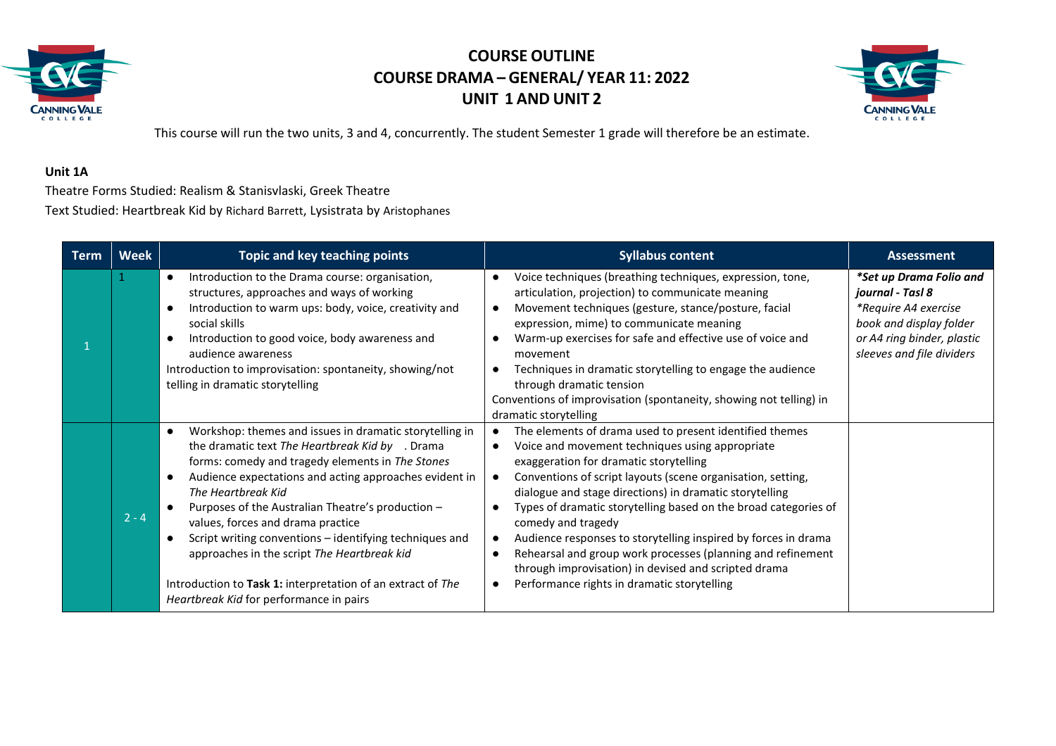



This course will run the two units, 3 and 4, concurrently. The student Semester 1 grade will therefore be an estimate.

#### **Unit 1A**

Theatre Forms Studied: Realism & Stanisvlaski, Greek Theatre

Text Studied: Heartbreak Kid by Richard Barrett, Lysistrata by Aristophanes

| <b>Term</b> | <b>Week</b> | Topic and key teaching points                                                                                                                                                                                                                                                                                                                                                                                                                                                                                                                                | <b>Syllabus content</b>                                                                                                                                                                                                                                                                                                                                                                                                                                                                                                                                                                                         | <b>Assessment</b>                                                                                                                                         |
|-------------|-------------|--------------------------------------------------------------------------------------------------------------------------------------------------------------------------------------------------------------------------------------------------------------------------------------------------------------------------------------------------------------------------------------------------------------------------------------------------------------------------------------------------------------------------------------------------------------|-----------------------------------------------------------------------------------------------------------------------------------------------------------------------------------------------------------------------------------------------------------------------------------------------------------------------------------------------------------------------------------------------------------------------------------------------------------------------------------------------------------------------------------------------------------------------------------------------------------------|-----------------------------------------------------------------------------------------------------------------------------------------------------------|
|             |             | Introduction to the Drama course: organisation,<br>structures, approaches and ways of working<br>Introduction to warm ups: body, voice, creativity and<br>social skills<br>Introduction to good voice, body awareness and<br>audience awareness<br>Introduction to improvisation: spontaneity, showing/not<br>telling in dramatic storytelling                                                                                                                                                                                                               | Voice techniques (breathing techniques, expression, tone,<br>articulation, projection) to communicate meaning<br>Movement techniques (gesture, stance/posture, facial<br>expression, mime) to communicate meaning<br>Warm-up exercises for safe and effective use of voice and<br>movement<br>Techniques in dramatic storytelling to engage the audience<br>through dramatic tension<br>Conventions of improvisation (spontaneity, showing not telling) in<br>dramatic storytelling                                                                                                                             | *Set up Drama Folio and<br>journal - Tasl 8<br>*Require A4 exercise<br>book and display folder<br>or A4 ring binder, plastic<br>sleeves and file dividers |
|             | $2 - 4$     | Workshop: themes and issues in dramatic storytelling in<br>the dramatic text The Heartbreak Kid by . Drama<br>forms: comedy and tragedy elements in The Stones<br>Audience expectations and acting approaches evident in<br>The Heartbreak Kid<br>Purposes of the Australian Theatre's production -<br>values, forces and drama practice<br>Script writing conventions - identifying techniques and<br>approaches in the script The Heartbreak kid<br>Introduction to Task 1: interpretation of an extract of The<br>Heartbreak Kid for performance in pairs | The elements of drama used to present identified themes<br>Voice and movement techniques using appropriate<br>exaggeration for dramatic storytelling<br>Conventions of script layouts (scene organisation, setting,<br>dialogue and stage directions) in dramatic storytelling<br>Types of dramatic storytelling based on the broad categories of<br>comedy and tragedy<br>Audience responses to storytelling inspired by forces in drama<br>Rehearsal and group work processes (planning and refinement<br>through improvisation) in devised and scripted drama<br>Performance rights in dramatic storytelling |                                                                                                                                                           |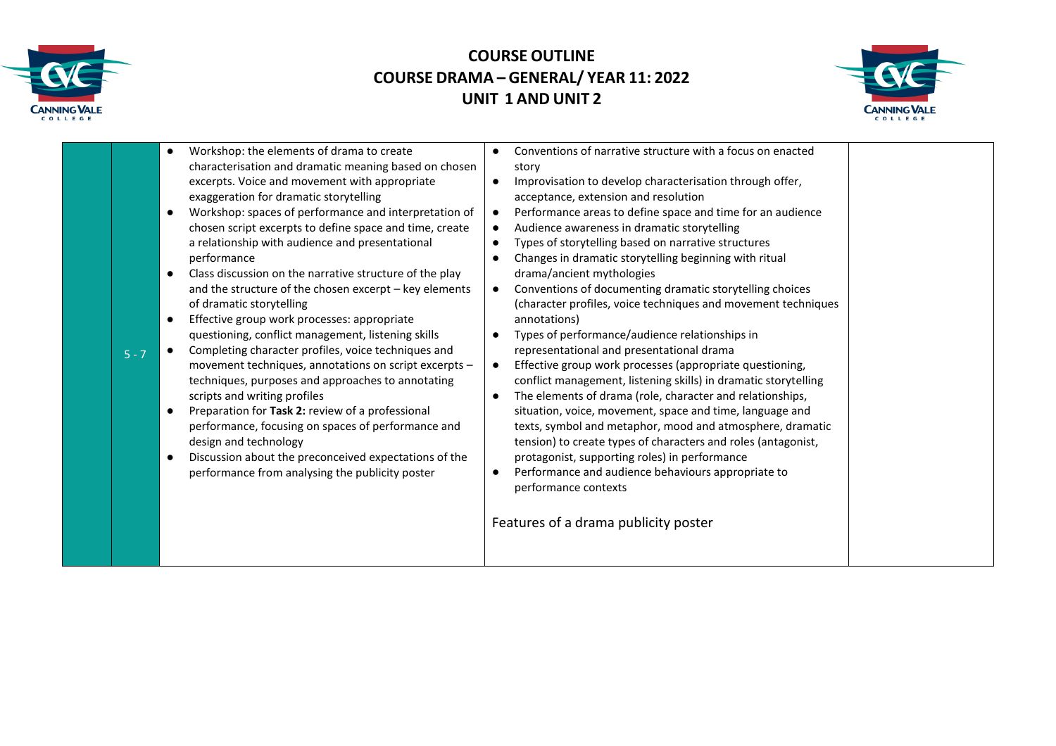



|  | $5 - 7$ | Workshop: the elements of drama to create<br>characterisation and dramatic meaning based on chosen<br>excerpts. Voice and movement with appropriate<br>exaggeration for dramatic storytelling<br>Workshop: spaces of performance and interpretation of<br>chosen script excerpts to define space and time, create<br>a relationship with audience and presentational<br>performance<br>Class discussion on the narrative structure of the play<br>$\bullet$<br>and the structure of the chosen excerpt - key elements<br>of dramatic storytelling<br>Effective group work processes: appropriate<br>$\bullet$<br>questioning, conflict management, listening skills<br>Completing character profiles, voice techniques and<br>movement techniques, annotations on script excerpts -<br>techniques, purposes and approaches to annotating<br>scripts and writing profiles<br>Preparation for Task 2: review of a professional<br>$\bullet$<br>performance, focusing on spaces of performance and<br>design and technology<br>Discussion about the preconceived expectations of the<br>performance from analysing the publicity poster | Conventions of narrative structure with a focus on enacted<br>$\bullet$<br>story<br>Improvisation to develop characterisation through offer,<br>$\bullet$<br>acceptance, extension and resolution<br>Performance areas to define space and time for an audience<br>$\bullet$<br>Audience awareness in dramatic storytelling<br>$\bullet$<br>Types of storytelling based on narrative structures<br>Changes in dramatic storytelling beginning with ritual<br>drama/ancient mythologies<br>Conventions of documenting dramatic storytelling choices<br>$\bullet$<br>(character profiles, voice techniques and movement techniques<br>annotations)<br>Types of performance/audience relationships in<br>$\bullet$<br>representational and presentational drama<br>Effective group work processes (appropriate questioning,<br>$\bullet$<br>conflict management, listening skills) in dramatic storytelling<br>The elements of drama (role, character and relationships,<br>$\bullet$<br>situation, voice, movement, space and time, language and<br>texts, symbol and metaphor, mood and atmosphere, dramatic<br>tension) to create types of characters and roles (antagonist,<br>protagonist, supporting roles) in performance<br>Performance and audience behaviours appropriate to<br>$\bullet$<br>performance contexts<br>Features of a drama publicity poster |
|--|---------|--------------------------------------------------------------------------------------------------------------------------------------------------------------------------------------------------------------------------------------------------------------------------------------------------------------------------------------------------------------------------------------------------------------------------------------------------------------------------------------------------------------------------------------------------------------------------------------------------------------------------------------------------------------------------------------------------------------------------------------------------------------------------------------------------------------------------------------------------------------------------------------------------------------------------------------------------------------------------------------------------------------------------------------------------------------------------------------------------------------------------------------|------------------------------------------------------------------------------------------------------------------------------------------------------------------------------------------------------------------------------------------------------------------------------------------------------------------------------------------------------------------------------------------------------------------------------------------------------------------------------------------------------------------------------------------------------------------------------------------------------------------------------------------------------------------------------------------------------------------------------------------------------------------------------------------------------------------------------------------------------------------------------------------------------------------------------------------------------------------------------------------------------------------------------------------------------------------------------------------------------------------------------------------------------------------------------------------------------------------------------------------------------------------------------------------------------------------------------------------------------------------|
|--|---------|--------------------------------------------------------------------------------------------------------------------------------------------------------------------------------------------------------------------------------------------------------------------------------------------------------------------------------------------------------------------------------------------------------------------------------------------------------------------------------------------------------------------------------------------------------------------------------------------------------------------------------------------------------------------------------------------------------------------------------------------------------------------------------------------------------------------------------------------------------------------------------------------------------------------------------------------------------------------------------------------------------------------------------------------------------------------------------------------------------------------------------------|------------------------------------------------------------------------------------------------------------------------------------------------------------------------------------------------------------------------------------------------------------------------------------------------------------------------------------------------------------------------------------------------------------------------------------------------------------------------------------------------------------------------------------------------------------------------------------------------------------------------------------------------------------------------------------------------------------------------------------------------------------------------------------------------------------------------------------------------------------------------------------------------------------------------------------------------------------------------------------------------------------------------------------------------------------------------------------------------------------------------------------------------------------------------------------------------------------------------------------------------------------------------------------------------------------------------------------------------------------------|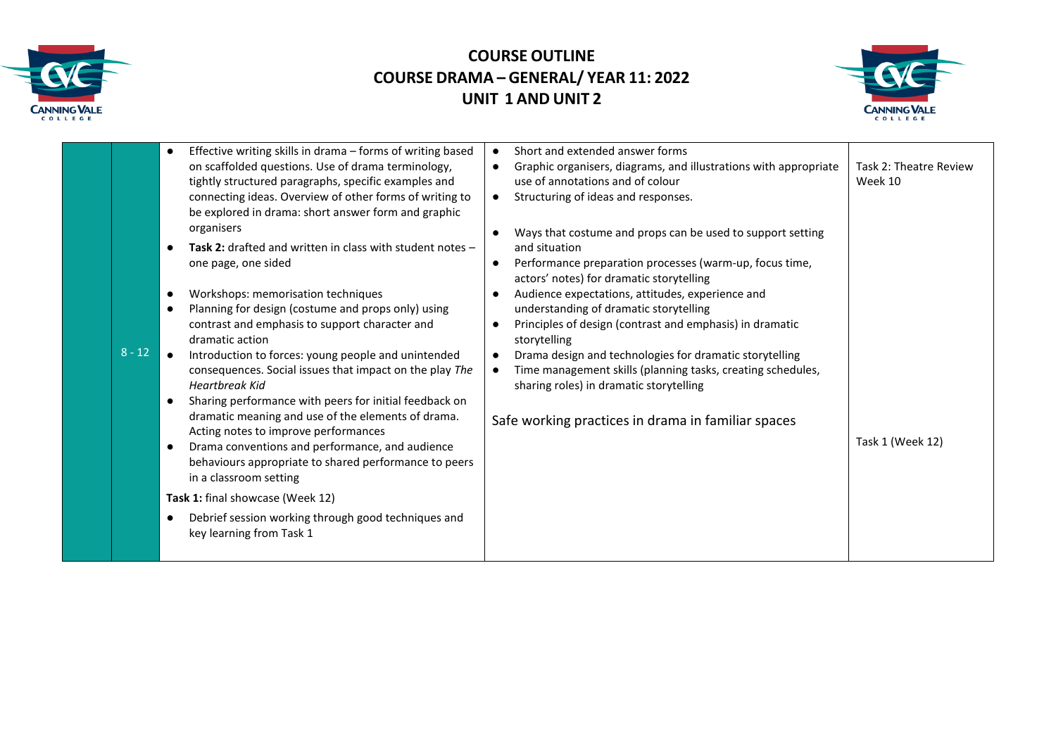



| Effective writing skills in drama - forms of writing based<br>Short and extended answer forms<br>$\bullet$<br>on scaffolded questions. Use of drama terminology,<br>Graphic organisers, diagrams, and illustrations with appropriate<br>Task 2: Theatre Review<br>tightly structured paragraphs, specific examples and<br>use of annotations and of colour<br>Week 10<br>connecting ideas. Overview of other forms of writing to<br>Structuring of ideas and responses.<br>$\bullet$<br>be explored in drama: short answer form and graphic<br>organisers<br>Ways that costume and props can be used to support setting<br>Task 2: drafted and written in class with student notes -<br>and situation<br>$\bullet$<br>Performance preparation processes (warm-up, focus time,<br>one page, one sided<br>$\bullet$<br>actors' notes) for dramatic storytelling<br>Workshops: memorisation techniques<br>Audience expectations, attitudes, experience and<br>$\bullet$<br>Planning for design (costume and props only) using<br>understanding of dramatic storytelling<br>$\bullet$<br>contrast and emphasis to support character and<br>Principles of design (contrast and emphasis) in dramatic<br>$\bullet$<br>dramatic action<br>storytelling<br>$8 - 12$<br>Introduction to forces: young people and unintended<br>Drama design and technologies for dramatic storytelling<br>consequences. Social issues that impact on the play The<br>Time management skills (planning tasks, creating schedules,<br>$\bullet$<br><b>Heartbreak Kid</b><br>sharing roles) in dramatic storytelling<br>Sharing performance with peers for initial feedback on<br>$\bullet$<br>dramatic meaning and use of the elements of drama.<br>Safe working practices in drama in familiar spaces<br>Acting notes to improve performances<br>Task 1 (Week 12)<br>Drama conventions and performance, and audience<br>$\bullet$<br>behaviours appropriate to shared performance to peers<br>in a classroom setting<br>Task 1: final showcase (Week 12)<br>$\bullet$ |  |                                                     |  |
|---------------------------------------------------------------------------------------------------------------------------------------------------------------------------------------------------------------------------------------------------------------------------------------------------------------------------------------------------------------------------------------------------------------------------------------------------------------------------------------------------------------------------------------------------------------------------------------------------------------------------------------------------------------------------------------------------------------------------------------------------------------------------------------------------------------------------------------------------------------------------------------------------------------------------------------------------------------------------------------------------------------------------------------------------------------------------------------------------------------------------------------------------------------------------------------------------------------------------------------------------------------------------------------------------------------------------------------------------------------------------------------------------------------------------------------------------------------------------------------------------------------------------------------------------------------------------------------------------------------------------------------------------------------------------------------------------------------------------------------------------------------------------------------------------------------------------------------------------------------------------------------------------------------------------------------------------------------------------------------------------------------------------------------------|--|-----------------------------------------------------|--|
| key learning from Task 1                                                                                                                                                                                                                                                                                                                                                                                                                                                                                                                                                                                                                                                                                                                                                                                                                                                                                                                                                                                                                                                                                                                                                                                                                                                                                                                                                                                                                                                                                                                                                                                                                                                                                                                                                                                                                                                                                                                                                                                                                    |  | Debrief session working through good techniques and |  |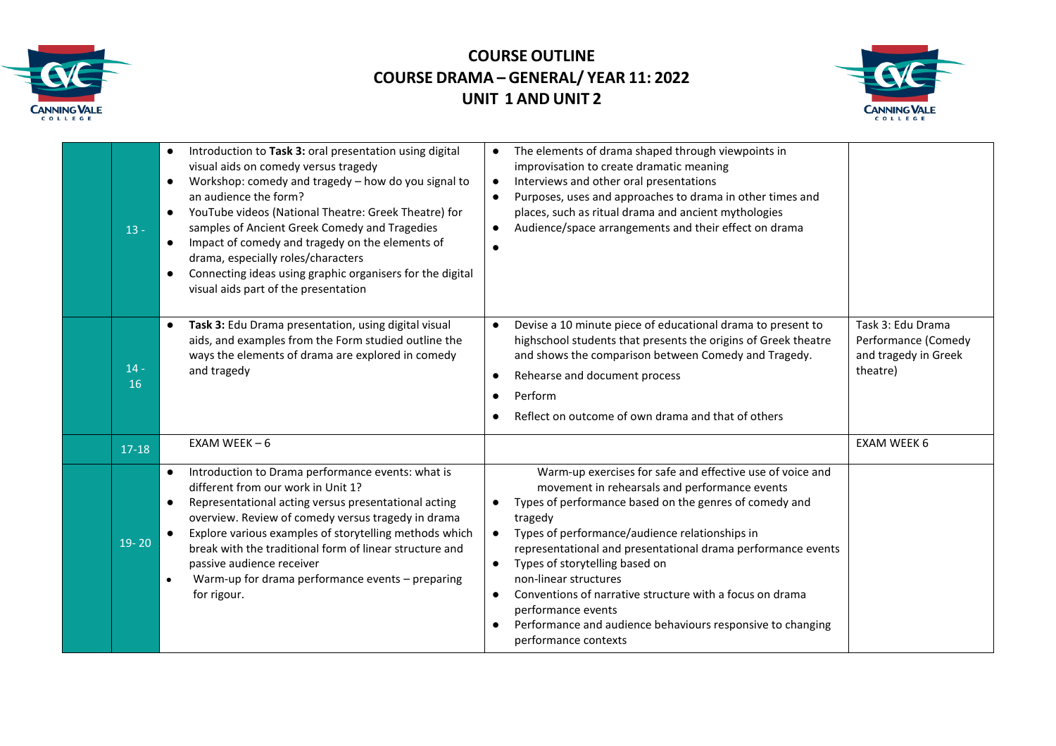



| $13 -$       | Introduction to Task 3: oral presentation using digital<br>visual aids on comedy versus tragedy<br>Workshop: comedy and tragedy - how do you signal to<br>$\bullet$<br>an audience the form?<br>YouTube videos (National Theatre: Greek Theatre) for<br>$\bullet$<br>samples of Ancient Greek Comedy and Tragedies<br>Impact of comedy and tragedy on the elements of<br>drama, especially roles/characters<br>Connecting ideas using graphic organisers for the digital<br>$\bullet$<br>visual aids part of the presentation | The elements of drama shaped through viewpoints in<br>improvisation to create dramatic meaning<br>Interviews and other oral presentations<br>$\bullet$<br>Purposes, uses and approaches to drama in other times and<br>$\bullet$<br>places, such as ritual drama and ancient mythologies<br>Audience/space arrangements and their effect on drama<br>$\bullet$                                                                                                                                                                                                                           |                                                                              |
|--------------|-------------------------------------------------------------------------------------------------------------------------------------------------------------------------------------------------------------------------------------------------------------------------------------------------------------------------------------------------------------------------------------------------------------------------------------------------------------------------------------------------------------------------------|------------------------------------------------------------------------------------------------------------------------------------------------------------------------------------------------------------------------------------------------------------------------------------------------------------------------------------------------------------------------------------------------------------------------------------------------------------------------------------------------------------------------------------------------------------------------------------------|------------------------------------------------------------------------------|
| $14 -$<br>16 | Task 3: Edu Drama presentation, using digital visual<br>aids, and examples from the Form studied outline the<br>ways the elements of drama are explored in comedy<br>and tragedy                                                                                                                                                                                                                                                                                                                                              | Devise a 10 minute piece of educational drama to present to<br>$\bullet$<br>highschool students that presents the origins of Greek theatre<br>and shows the comparison between Comedy and Tragedy.<br>Rehearse and document process<br>$\bullet$<br>Perform<br>Reflect on outcome of own drama and that of others                                                                                                                                                                                                                                                                        | Task 3: Edu Drama<br>Performance (Comedy<br>and tragedy in Greek<br>theatre) |
| $17 - 18$    | EXAM WEEK $-6$                                                                                                                                                                                                                                                                                                                                                                                                                                                                                                                |                                                                                                                                                                                                                                                                                                                                                                                                                                                                                                                                                                                          | <b>EXAM WEEK 6</b>                                                           |
| $19 - 20$    | Introduction to Drama performance events: what is<br>different from our work in Unit 1?<br>Representational acting versus presentational acting<br>$\bullet$<br>overview. Review of comedy versus tragedy in drama<br>Explore various examples of storytelling methods which<br>break with the traditional form of linear structure and<br>passive audience receiver<br>Warm-up for drama performance events - preparing<br>for rigour.                                                                                       | Warm-up exercises for safe and effective use of voice and<br>movement in rehearsals and performance events<br>Types of performance based on the genres of comedy and<br>tragedy<br>Types of performance/audience relationships in<br>$\bullet$<br>representational and presentational drama performance events<br>Types of storytelling based on<br>$\bullet$<br>non-linear structures<br>Conventions of narrative structure with a focus on drama<br>$\bullet$<br>performance events<br>Performance and audience behaviours responsive to changing<br>$\bullet$<br>performance contexts |                                                                              |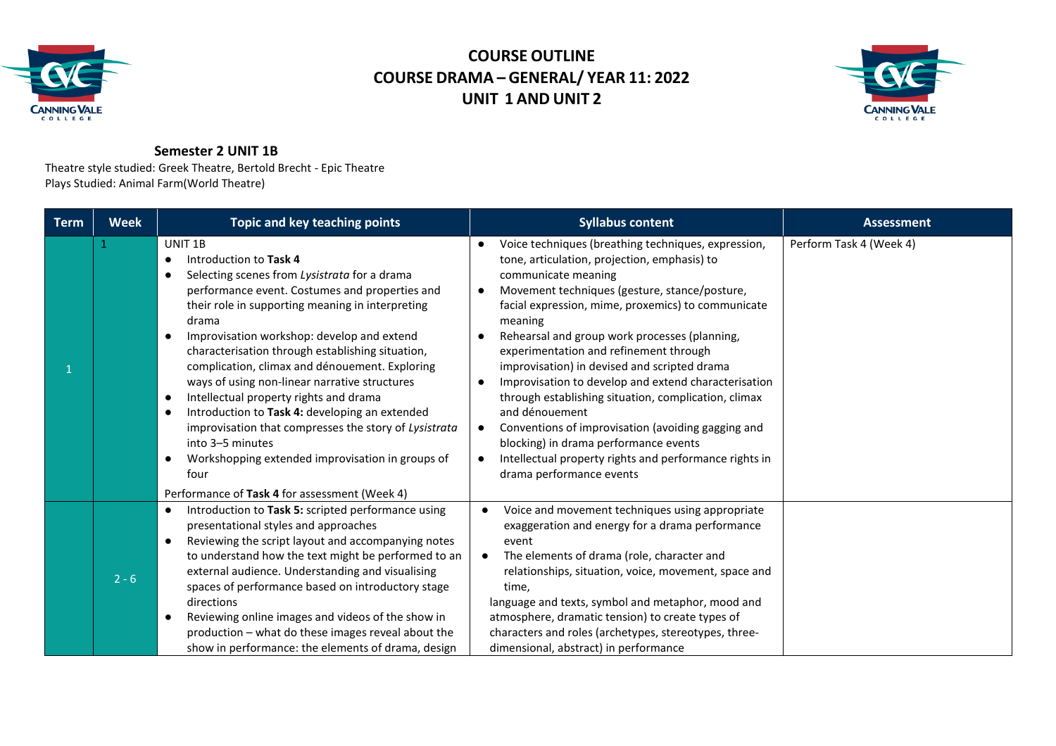



#### **Semester 2 UNIT 1B**

Theatre style studied: Greek Theatre, Bertold Brecht - Epic Theatre Plays Studied: Animal Farm(World Theatre)

| <b>Term</b> | <b>Week</b> | Topic and key teaching points                                                                                                                                                                                                                                                                                                                                                                                                                                                                                                                                                                                                                                                                                                                                             | <b>Syllabus content</b>                                                                                                                                                                                                                                                                                                                                                                                                                                                                                                                                                                                                                                                                                                                                            | <b>Assessment</b>       |
|-------------|-------------|---------------------------------------------------------------------------------------------------------------------------------------------------------------------------------------------------------------------------------------------------------------------------------------------------------------------------------------------------------------------------------------------------------------------------------------------------------------------------------------------------------------------------------------------------------------------------------------------------------------------------------------------------------------------------------------------------------------------------------------------------------------------------|--------------------------------------------------------------------------------------------------------------------------------------------------------------------------------------------------------------------------------------------------------------------------------------------------------------------------------------------------------------------------------------------------------------------------------------------------------------------------------------------------------------------------------------------------------------------------------------------------------------------------------------------------------------------------------------------------------------------------------------------------------------------|-------------------------|
|             | 1           | UNIT 1B<br>Introduction to Task 4<br>$\bullet$<br>Selecting scenes from Lysistrata for a drama<br>$\bullet$<br>performance event. Costumes and properties and<br>their role in supporting meaning in interpreting<br>drama<br>Improvisation workshop: develop and extend<br>$\bullet$<br>characterisation through establishing situation,<br>complication, climax and dénouement. Exploring<br>ways of using non-linear narrative structures<br>Intellectual property rights and drama<br>$\bullet$<br>Introduction to Task 4: developing an extended<br>$\bullet$<br>improvisation that compresses the story of Lysistrata<br>into 3-5 minutes<br>Workshopping extended improvisation in groups of<br>$\bullet$<br>four<br>Performance of Task 4 for assessment (Week 4) | Voice techniques (breathing techniques, expression,<br>$\bullet$<br>tone, articulation, projection, emphasis) to<br>communicate meaning<br>Movement techniques (gesture, stance/posture,<br>$\bullet$<br>facial expression, mime, proxemics) to communicate<br>meaning<br>Rehearsal and group work processes (planning,<br>experimentation and refinement through<br>improvisation) in devised and scripted drama<br>Improvisation to develop and extend characterisation<br>through establishing situation, complication, climax<br>and dénouement<br>Conventions of improvisation (avoiding gagging and<br>$\bullet$<br>blocking) in drama performance events<br>Intellectual property rights and performance rights in<br>$\bullet$<br>drama performance events | Perform Task 4 (Week 4) |
|             | $2 - 6$     | Introduction to Task 5: scripted performance using<br>$\bullet$<br>presentational styles and approaches<br>Reviewing the script layout and accompanying notes<br>$\bullet$<br>to understand how the text might be performed to an<br>external audience. Understanding and visualising<br>spaces of performance based on introductory stage<br>directions<br>Reviewing online images and videos of the show in<br>$\bullet$<br>production - what do these images reveal about the<br>show in performance: the elements of drama, design                                                                                                                                                                                                                                    | Voice and movement techniques using appropriate<br>exaggeration and energy for a drama performance<br>event<br>The elements of drama (role, character and<br>$\bullet$<br>relationships, situation, voice, movement, space and<br>time,<br>language and texts, symbol and metaphor, mood and<br>atmosphere, dramatic tension) to create types of<br>characters and roles (archetypes, stereotypes, three-<br>dimensional, abstract) in performance                                                                                                                                                                                                                                                                                                                 |                         |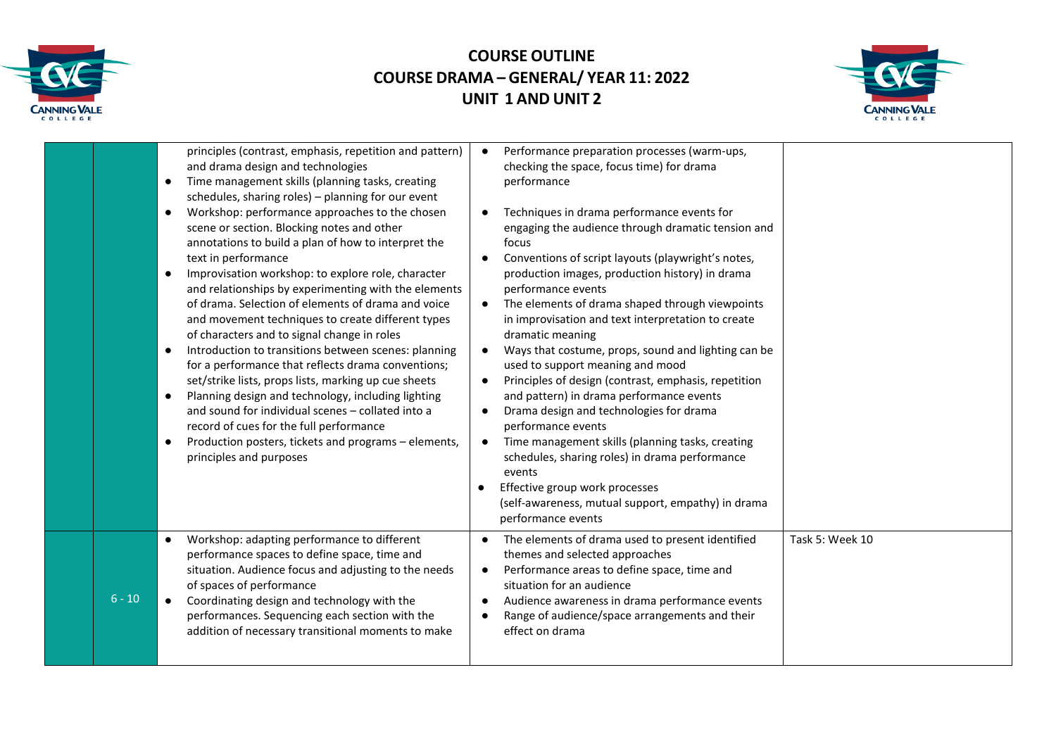



|          | principles (contrast, emphasis, repetition and pattern)<br>and drama design and technologies<br>Time management skills (planning tasks, creating<br>$\bullet$<br>schedules, sharing roles) - planning for our event<br>Workshop: performance approaches to the chosen<br>$\bullet$<br>scene or section. Blocking notes and other<br>annotations to build a plan of how to interpret the<br>text in performance<br>Improvisation workshop: to explore role, character<br>$\bullet$<br>and relationships by experimenting with the elements<br>of drama. Selection of elements of drama and voice<br>and movement techniques to create different types<br>of characters and to signal change in roles<br>Introduction to transitions between scenes: planning<br>for a performance that reflects drama conventions;<br>set/strike lists, props lists, marking up cue sheets<br>Planning design and technology, including lighting<br>$\bullet$<br>and sound for individual scenes - collated into a<br>record of cues for the full performance<br>Production posters, tickets and programs - elements,<br>$\bullet$<br>principles and purposes | Performance preparation processes (warm-ups,<br>checking the space, focus time) for drama<br>performance<br>Techniques in drama performance events for<br>engaging the audience through dramatic tension and<br>focus<br>Conventions of script layouts (playwright's notes,<br>production images, production history) in drama<br>performance events<br>The elements of drama shaped through viewpoints<br>in improvisation and text interpretation to create<br>dramatic meaning<br>Ways that costume, props, sound and lighting can be<br>used to support meaning and mood<br>Principles of design (contrast, emphasis, repetition<br>and pattern) in drama performance events<br>Drama design and technologies for drama<br>performance events<br>Time management skills (planning tasks, creating<br>schedules, sharing roles) in drama performance<br>events<br>Effective group work processes<br>(self-awareness, mutual support, empathy) in drama<br>performance events |                 |
|----------|----------------------------------------------------------------------------------------------------------------------------------------------------------------------------------------------------------------------------------------------------------------------------------------------------------------------------------------------------------------------------------------------------------------------------------------------------------------------------------------------------------------------------------------------------------------------------------------------------------------------------------------------------------------------------------------------------------------------------------------------------------------------------------------------------------------------------------------------------------------------------------------------------------------------------------------------------------------------------------------------------------------------------------------------------------------------------------------------------------------------------------------------|---------------------------------------------------------------------------------------------------------------------------------------------------------------------------------------------------------------------------------------------------------------------------------------------------------------------------------------------------------------------------------------------------------------------------------------------------------------------------------------------------------------------------------------------------------------------------------------------------------------------------------------------------------------------------------------------------------------------------------------------------------------------------------------------------------------------------------------------------------------------------------------------------------------------------------------------------------------------------------|-----------------|
| $6 - 10$ | Workshop: adapting performance to different<br>$\bullet$<br>performance spaces to define space, time and<br>situation. Audience focus and adjusting to the needs<br>of spaces of performance<br>Coordinating design and technology with the<br>performances. Sequencing each section with the<br>addition of necessary transitional moments to make                                                                                                                                                                                                                                                                                                                                                                                                                                                                                                                                                                                                                                                                                                                                                                                          | The elements of drama used to present identified<br>themes and selected approaches<br>Performance areas to define space, time and<br>situation for an audience<br>Audience awareness in drama performance events<br>Range of audience/space arrangements and their<br>effect on drama                                                                                                                                                                                                                                                                                                                                                                                                                                                                                                                                                                                                                                                                                           | Task 5: Week 10 |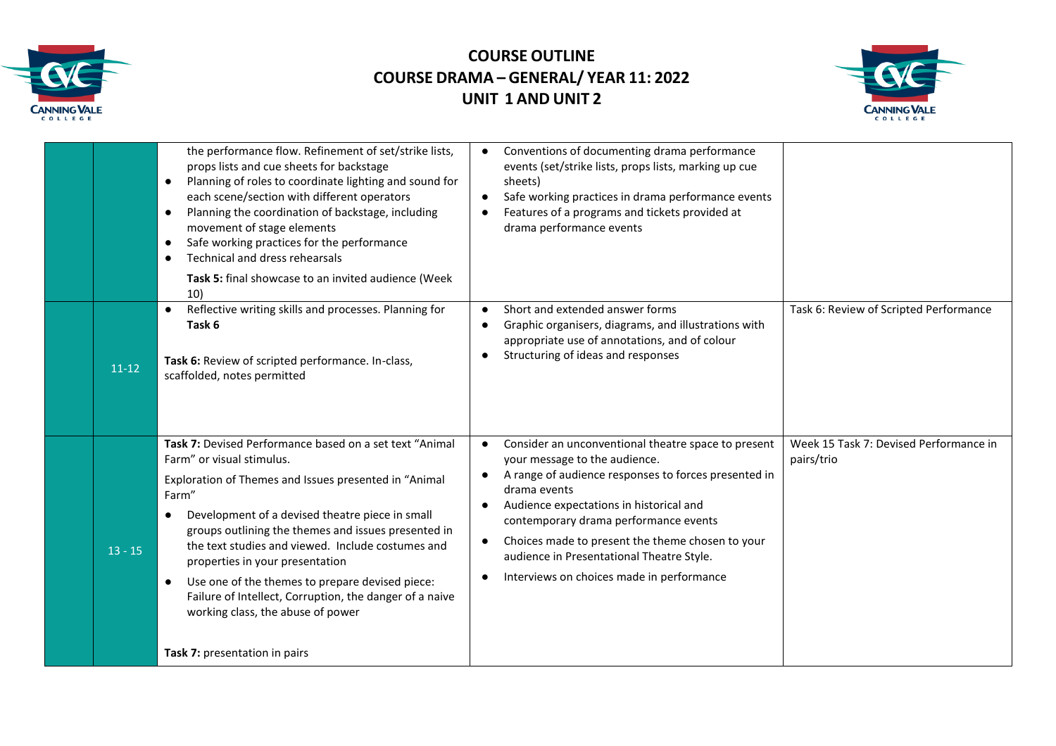



|           | the performance flow. Refinement of set/strike lists,<br>props lists and cue sheets for backstage<br>Planning of roles to coordinate lighting and sound for<br>$\bullet$<br>each scene/section with different operators<br>Planning the coordination of backstage, including<br>$\bullet$<br>movement of stage elements<br>Safe working practices for the performance<br>$\bullet$<br>Technical and dress rehearsals<br>$\bullet$<br>Task 5: final showcase to an invited audience (Week<br>10)                                                           | Conventions of documenting drama performance<br>events (set/strike lists, props lists, marking up cue<br>sheets)<br>Safe working practices in drama performance events<br>Features of a programs and tickets provided at<br>drama performance events                                                                                                                                                                                  |                                                      |
|-----------|-----------------------------------------------------------------------------------------------------------------------------------------------------------------------------------------------------------------------------------------------------------------------------------------------------------------------------------------------------------------------------------------------------------------------------------------------------------------------------------------------------------------------------------------------------------|---------------------------------------------------------------------------------------------------------------------------------------------------------------------------------------------------------------------------------------------------------------------------------------------------------------------------------------------------------------------------------------------------------------------------------------|------------------------------------------------------|
| $11 - 12$ | Reflective writing skills and processes. Planning for<br>$\bullet$<br>Task 6<br>Task 6: Review of scripted performance. In-class,<br>scaffolded, notes permitted                                                                                                                                                                                                                                                                                                                                                                                          | Short and extended answer forms<br>Graphic organisers, diagrams, and illustrations with<br>$\bullet$<br>appropriate use of annotations, and of colour<br>Structuring of ideas and responses                                                                                                                                                                                                                                           | Task 6: Review of Scripted Performance               |
| $13 - 15$ | Task 7: Devised Performance based on a set text "Animal<br>Farm" or visual stimulus.<br>Exploration of Themes and Issues presented in "Animal<br>Farm"<br>Development of a devised theatre piece in small<br>groups outlining the themes and issues presented in<br>the text studies and viewed. Include costumes and<br>properties in your presentation<br>Use one of the themes to prepare devised piece:<br>$\bullet$<br>Failure of Intellect, Corruption, the danger of a naive<br>working class, the abuse of power<br>Task 7: presentation in pairs | Consider an unconventional theatre space to present<br>$\bullet$<br>your message to the audience.<br>A range of audience responses to forces presented in<br>$\bullet$<br>drama events<br>Audience expectations in historical and<br>contemporary drama performance events<br>Choices made to present the theme chosen to your<br>$\bullet$<br>audience in Presentational Theatre Style.<br>Interviews on choices made in performance | Week 15 Task 7: Devised Performance in<br>pairs/trio |